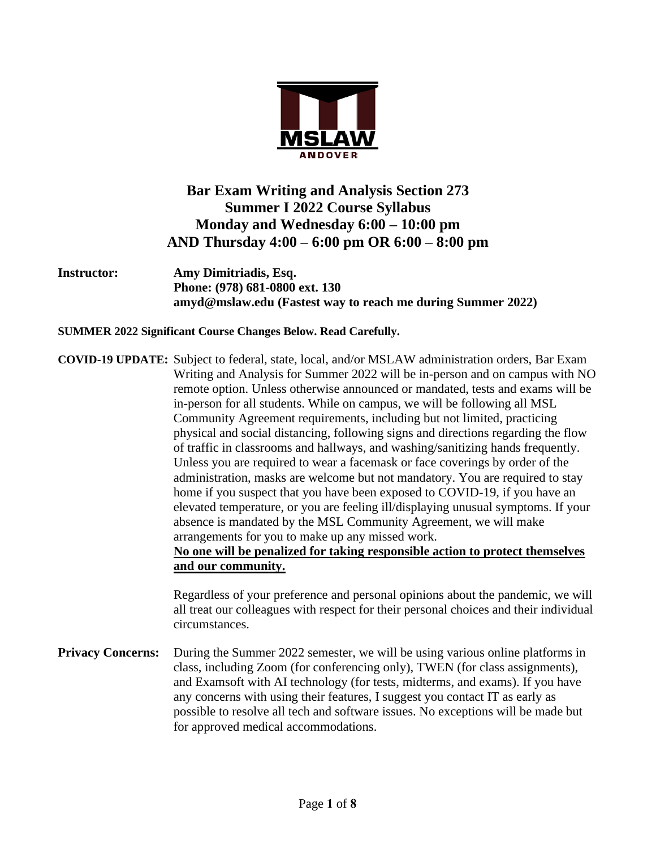

# **Bar Exam Writing and Analysis Section 273 Summer I 2022 Course Syllabus Monday and Wednesday 6:00 – 10:00 pm AND Thursday 4:00 – 6:00 pm OR 6:00 – 8:00 pm**

**Instructor: Amy Dimitriadis, Esq. Phone: (978) 681-0800 ext. 130 amyd@mslaw.edu (Fastest way to reach me during Summer 2022)**

**SUMMER 2022 Significant Course Changes Below. Read Carefully.**

**COVID-19 UPDATE:** Subject to federal, state, local, and/or MSLAW administration orders, Bar Exam Writing and Analysis for Summer 2022 will be in-person and on campus with NO remote option. Unless otherwise announced or mandated, tests and exams will be in-person for all students. While on campus, we will be following all MSL Community Agreement requirements, including but not limited, practicing physical and social distancing, following signs and directions regarding the flow of traffic in classrooms and hallways, and washing/sanitizing hands frequently. Unless you are required to wear a facemask or face coverings by order of the administration, masks are welcome but not mandatory. You are required to stay home if you suspect that you have been exposed to COVID-19, if you have an elevated temperature, or you are feeling ill/displaying unusual symptoms. If your absence is mandated by the MSL Community Agreement, we will make arrangements for you to make up any missed work. **No one will be penalized for taking responsible action to protect themselves** 

**and our community.**

Regardless of your preference and personal opinions about the pandemic, we will all treat our colleagues with respect for their personal choices and their individual circumstances.

**Privacy Concerns:** During the Summer 2022 semester, we will be using various online platforms in class, including Zoom (for conferencing only), TWEN (for class assignments), and Examsoft with AI technology (for tests, midterms, and exams). If you have any concerns with using their features, I suggest you contact IT as early as possible to resolve all tech and software issues. No exceptions will be made but for approved medical accommodations.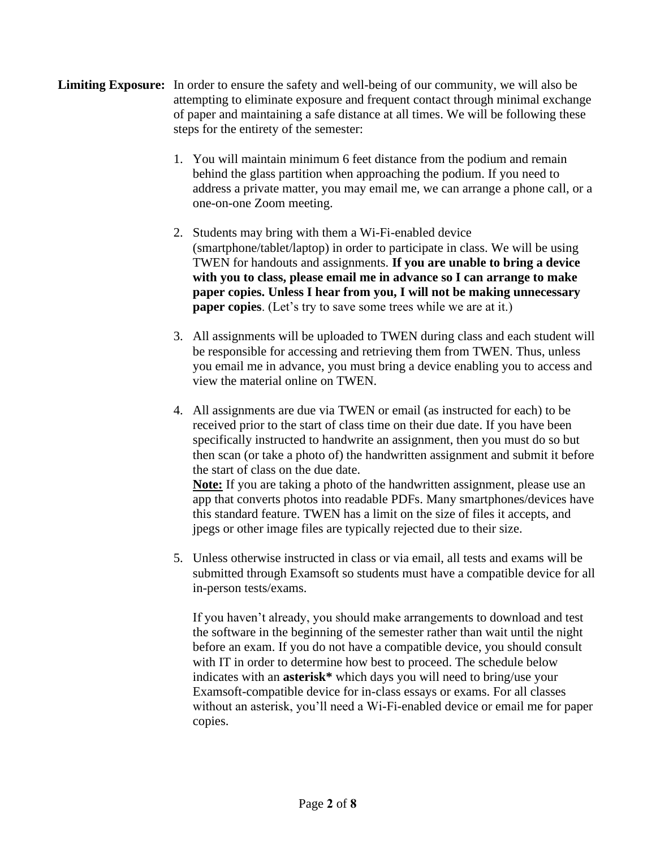- **Limiting Exposure:** In order to ensure the safety and well-being of our community, we will also be attempting to eliminate exposure and frequent contact through minimal exchange of paper and maintaining a safe distance at all times. We will be following these steps for the entirety of the semester:
	- 1. You will maintain minimum 6 feet distance from the podium and remain behind the glass partition when approaching the podium. If you need to address a private matter, you may email me, we can arrange a phone call, or a one-on-one Zoom meeting.
	- 2. Students may bring with them a Wi-Fi-enabled device (smartphone/tablet/laptop) in order to participate in class. We will be using TWEN for handouts and assignments. **If you are unable to bring a device with you to class, please email me in advance so I can arrange to make paper copies. Unless I hear from you, I will not be making unnecessary paper copies**. (Let's try to save some trees while we are at it.)
	- 3. All assignments will be uploaded to TWEN during class and each student will be responsible for accessing and retrieving them from TWEN. Thus, unless you email me in advance, you must bring a device enabling you to access and view the material online on TWEN.
	- 4. All assignments are due via TWEN or email (as instructed for each) to be received prior to the start of class time on their due date. If you have been specifically instructed to handwrite an assignment, then you must do so but then scan (or take a photo of) the handwritten assignment and submit it before the start of class on the due date.

**Note:** If you are taking a photo of the handwritten assignment, please use an app that converts photos into readable PDFs. Many smartphones/devices have this standard feature. TWEN has a limit on the size of files it accepts, and jpegs or other image files are typically rejected due to their size.

5. Unless otherwise instructed in class or via email, all tests and exams will be submitted through Examsoft so students must have a compatible device for all in-person tests/exams.

If you haven't already, you should make arrangements to download and test the software in the beginning of the semester rather than wait until the night before an exam. If you do not have a compatible device, you should consult with IT in order to determine how best to proceed. The schedule below indicates with an **asterisk\*** which days you will need to bring/use your Examsoft-compatible device for in-class essays or exams. For all classes without an asterisk, you'll need a Wi-Fi-enabled device or email me for paper copies.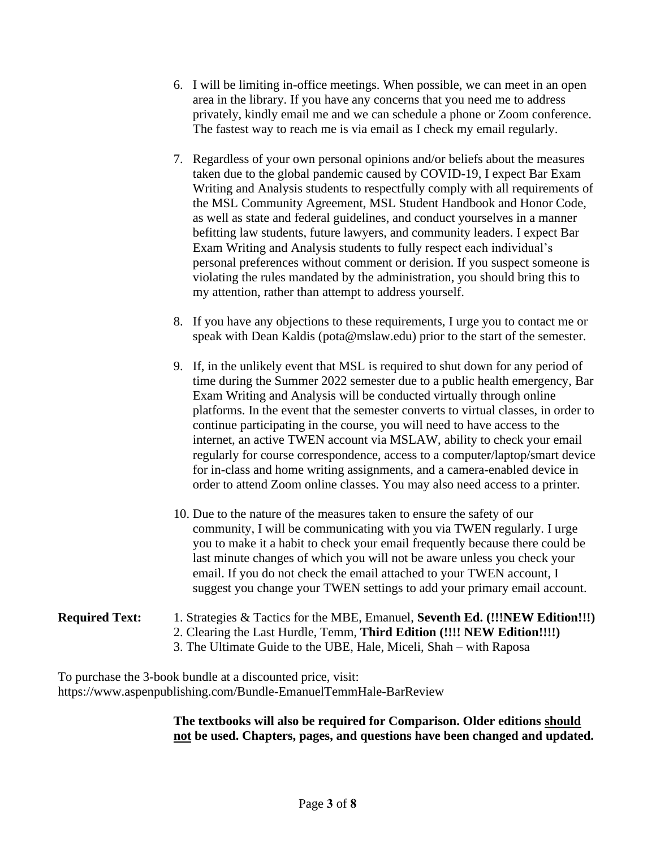- 6. I will be limiting in-office meetings. When possible, we can meet in an open area in the library. If you have any concerns that you need me to address privately, kindly email me and we can schedule a phone or Zoom conference. The fastest way to reach me is via email as I check my email regularly.
- 7. Regardless of your own personal opinions and/or beliefs about the measures taken due to the global pandemic caused by COVID-19, I expect Bar Exam Writing and Analysis students to respectfully comply with all requirements of the MSL Community Agreement, MSL Student Handbook and Honor Code, as well as state and federal guidelines, and conduct yourselves in a manner befitting law students, future lawyers, and community leaders. I expect Bar Exam Writing and Analysis students to fully respect each individual's personal preferences without comment or derision. If you suspect someone is violating the rules mandated by the administration, you should bring this to my attention, rather than attempt to address yourself.
- 8. If you have any objections to these requirements, I urge you to contact me or speak with Dean Kaldis (pota@mslaw.edu) prior to the start of the semester.
- 9. If, in the unlikely event that MSL is required to shut down for any period of time during the Summer 2022 semester due to a public health emergency, Bar Exam Writing and Analysis will be conducted virtually through online platforms. In the event that the semester converts to virtual classes, in order to continue participating in the course, you will need to have access to the internet, an active TWEN account via MSLAW, ability to check your email regularly for course correspondence, access to a computer/laptop/smart device for in-class and home writing assignments, and a camera-enabled device in order to attend Zoom online classes. You may also need access to a printer.
- 10. Due to the nature of the measures taken to ensure the safety of our community, I will be communicating with you via TWEN regularly. I urge you to make it a habit to check your email frequently because there could be last minute changes of which you will not be aware unless you check your email. If you do not check the email attached to your TWEN account, I suggest you change your TWEN settings to add your primary email account.

#### **Required Text:** 1. Strategies & Tactics for the MBE, Emanuel, **Seventh Ed. (!!!NEW Edition!!!)** 2. Clearing the Last Hurdle, Temm, **Third Edition (!!!! NEW Edition!!!!)** 3. The Ultimate Guide to the UBE, Hale, Miceli, Shah – with Raposa

To purchase the 3-book bundle at a discounted price, visit: https://www.aspenpublishing.com/Bundle-EmanuelTemmHale-BarReview

> **The textbooks will also be required for Comparison. Older editions should not be used. Chapters, pages, and questions have been changed and updated.**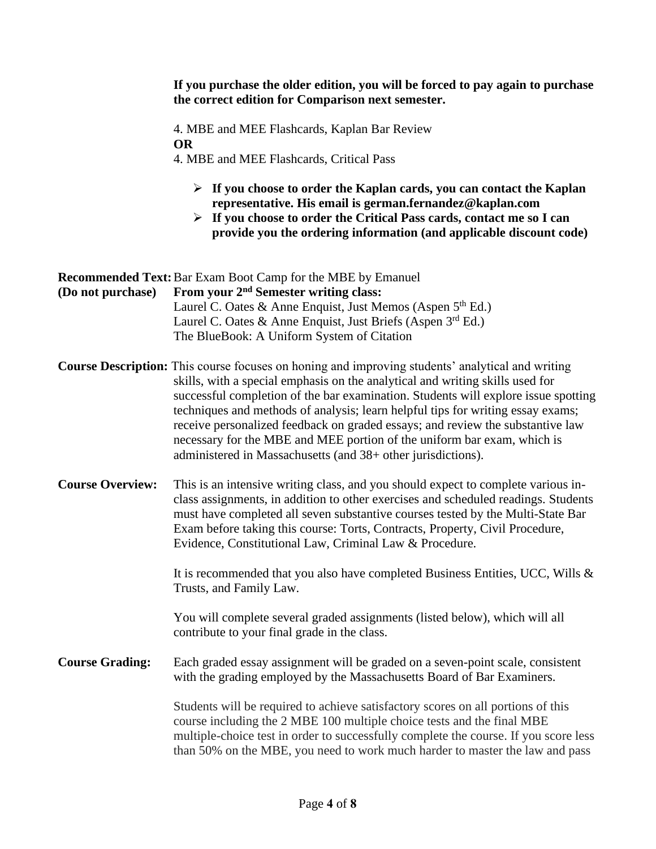|                         | If you purchase the older edition, you will be forced to pay again to purchase<br>the correct edition for Comparison next semester.                                                                                                                                                                                                                                                                                                                                                                                                                                                     |  |  |
|-------------------------|-----------------------------------------------------------------------------------------------------------------------------------------------------------------------------------------------------------------------------------------------------------------------------------------------------------------------------------------------------------------------------------------------------------------------------------------------------------------------------------------------------------------------------------------------------------------------------------------|--|--|
|                         | 4. MBE and MEE Flashcards, Kaplan Bar Review<br><b>OR</b><br>4. MBE and MEE Flashcards, Critical Pass                                                                                                                                                                                                                                                                                                                                                                                                                                                                                   |  |  |
|                         | $\triangleright$ If you choose to order the Kaplan cards, you can contact the Kaplan<br>representative. His email is german.fernandez@kaplan.com<br>$\triangleright$ If you choose to order the Critical Pass cards, contact me so I can<br>provide you the ordering information (and applicable discount code)                                                                                                                                                                                                                                                                         |  |  |
| (Do not purchase)       | <b>Recommended Text:</b> Bar Exam Boot Camp for the MBE by Emanuel<br>From your 2 <sup>nd</sup> Semester writing class:<br>Laurel C. Oates & Anne Enquist, Just Memos (Aspen $5th Ed.$ )<br>Laurel C. Oates & Anne Enquist, Just Briefs (Aspen $3^{rd}$ Ed.)<br>The BlueBook: A Uniform System of Citation                                                                                                                                                                                                                                                                              |  |  |
|                         | Course Description: This course focuses on honing and improving students' analytical and writing<br>skills, with a special emphasis on the analytical and writing skills used for<br>successful completion of the bar examination. Students will explore issue spotting<br>techniques and methods of analysis; learn helpful tips for writing essay exams;<br>receive personalized feedback on graded essays; and review the substantive law<br>necessary for the MBE and MEE portion of the uniform bar exam, which is<br>administered in Massachusetts (and 38+ other jurisdictions). |  |  |
| <b>Course Overview:</b> | This is an intensive writing class, and you should expect to complete various in-<br>class assignments, in addition to other exercises and scheduled readings. Students<br>must have completed all seven substantive courses tested by the Multi-State Bar<br>Exam before taking this course: Torts, Contracts, Property, Civil Procedure,<br>Evidence, Constitutional Law, Criminal Law & Procedure.                                                                                                                                                                                   |  |  |
|                         | It is recommended that you also have completed Business Entities, UCC, Wills &<br>Trusts, and Family Law.                                                                                                                                                                                                                                                                                                                                                                                                                                                                               |  |  |
|                         | You will complete several graded assignments (listed below), which will all<br>contribute to your final grade in the class.                                                                                                                                                                                                                                                                                                                                                                                                                                                             |  |  |
| <b>Course Grading:</b>  | Each graded essay assignment will be graded on a seven-point scale, consistent<br>with the grading employed by the Massachusetts Board of Bar Examiners.                                                                                                                                                                                                                                                                                                                                                                                                                                |  |  |
|                         | Students will be required to achieve satisfactory scores on all portions of this<br>course including the 2 MBE 100 multiple choice tests and the final MBE<br>multiple-choice test in order to successfully complete the course. If you score less<br>than 50% on the MBE, you need to work much harder to master the law and pass                                                                                                                                                                                                                                                      |  |  |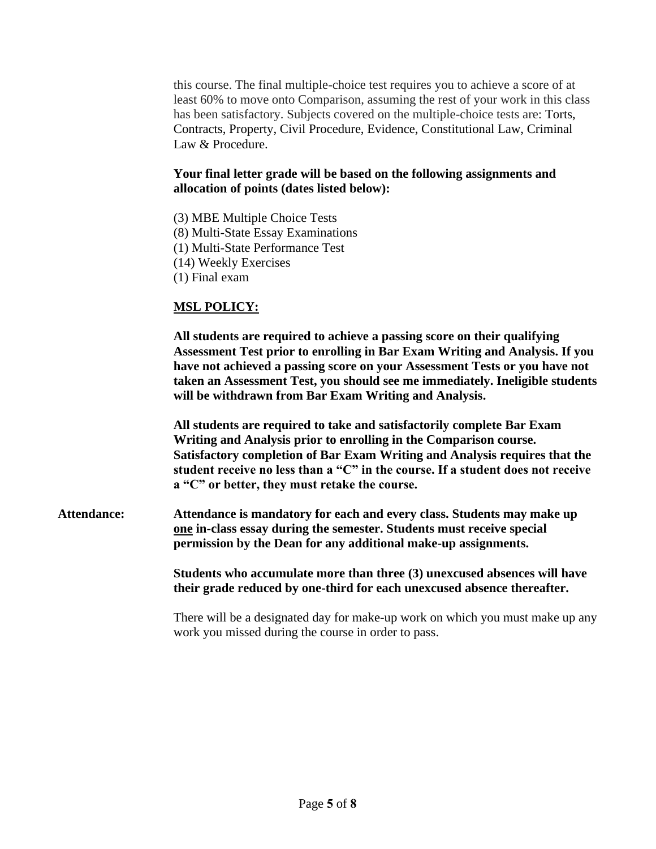this course. The final multiple-choice test requires you to achieve a score of at least 60% to move onto Comparison, assuming the rest of your work in this class has been satisfactory. Subjects covered on the multiple-choice tests are: Torts, Contracts, Property, Civil Procedure, Evidence, Constitutional Law, Criminal Law & Procedure.

#### **Your final letter grade will be based on the following assignments and allocation of points (dates listed below):**

(3) MBE Multiple Choice Tests (8) Multi-State Essay Examinations (1) Multi-State Performance Test (14) Weekly Exercises (1) Final exam

### **MSL POLICY:**

**All students are required to achieve a passing score on their qualifying Assessment Test prior to enrolling in Bar Exam Writing and Analysis. If you have not achieved a passing score on your Assessment Tests or you have not taken an Assessment Test, you should see me immediately. Ineligible students will be withdrawn from Bar Exam Writing and Analysis.** 

**All students are required to take and satisfactorily complete Bar Exam Writing and Analysis prior to enrolling in the Comparison course. Satisfactory completion of Bar Exam Writing and Analysis requires that the student receive no less than a "C" in the course. If a student does not receive a "C" or better, they must retake the course.**

**Attendance: Attendance is mandatory for each and every class. Students may make up one in-class essay during the semester. Students must receive special permission by the Dean for any additional make-up assignments.** 

> **Students who accumulate more than three (3) unexcused absences will have their grade reduced by one-third for each unexcused absence thereafter.**

There will be a designated day for make-up work on which you must make up any work you missed during the course in order to pass.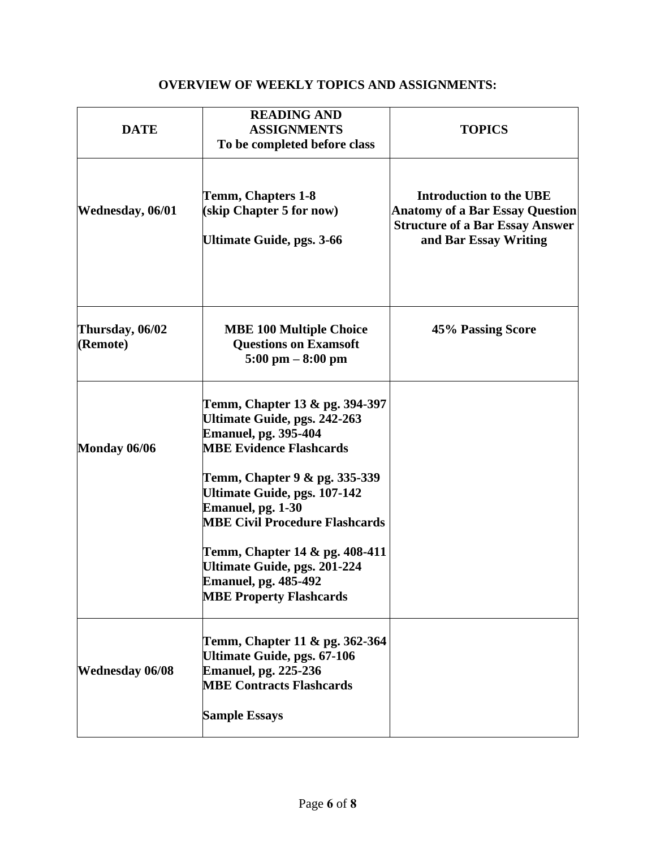## **OVERVIEW OF WEEKLY TOPICS AND ASSIGNMENTS:**

| <b>DATE</b>                 | <b>READING AND</b><br><b>ASSIGNMENTS</b><br>To be completed before class                                                                                                                                                                                                                                                                                                                                 | <b>TOPICS</b>                                                                                                                               |
|-----------------------------|----------------------------------------------------------------------------------------------------------------------------------------------------------------------------------------------------------------------------------------------------------------------------------------------------------------------------------------------------------------------------------------------------------|---------------------------------------------------------------------------------------------------------------------------------------------|
| <b>Wednesday, 06/01</b>     | Temm, Chapters 1-8<br>(skip Chapter 5 for now)<br><b>Ultimate Guide, pgs. 3-66</b>                                                                                                                                                                                                                                                                                                                       | <b>Introduction to the UBE</b><br><b>Anatomy of a Bar Essay Question</b><br><b>Structure of a Bar Essay Answer</b><br>and Bar Essay Writing |
| Thursday, 06/02<br>(Remote) | <b>MBE 100 Multiple Choice</b><br><b>Questions on Examsoft</b><br>$5:00$ pm $-8:00$ pm                                                                                                                                                                                                                                                                                                                   | 45% Passing Score                                                                                                                           |
| Monday 06/06                | Temm, Chapter 13 & pg. 394-397<br><b>Ultimate Guide, pgs. 242-263</b><br><b>Emanuel, pg. 395-404</b><br><b>MBE Evidence Flashcards</b><br>Temm, Chapter 9 & pg. 335-339<br>Ultimate Guide, pgs. 107-142<br>Emanuel, pg. 1-30<br><b>MBE Civil Procedure Flashcards</b><br>Temm, Chapter 14 & pg. 408-411<br>Ultimate Guide, pgs. 201-224<br><b>Emanuel, pg. 485-492</b><br><b>MBE Property Flashcards</b> |                                                                                                                                             |
| <b>Wednesday 06/08</b>      | Temm, Chapter 11 & pg. 362-364<br><b>Ultimate Guide, pgs. 67-106</b><br><b>Emanuel, pg. 225-236</b><br><b>MBE Contracts Flashcards</b><br><b>Sample Essays</b>                                                                                                                                                                                                                                           |                                                                                                                                             |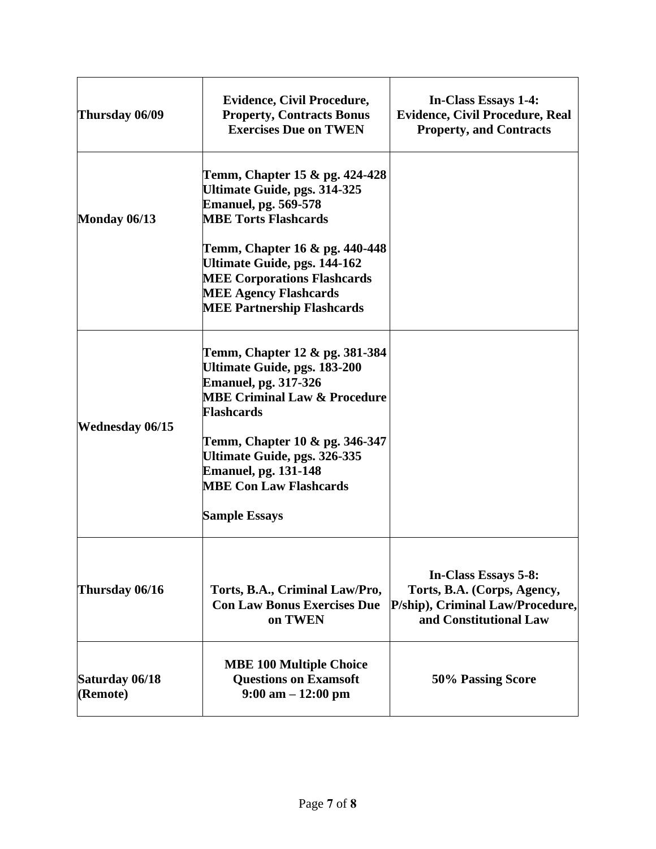| Thursday 06/09             | <b>Evidence, Civil Procedure,</b><br><b>Property, Contracts Bonus</b><br><b>Exercises Due on TWEN</b>                                                                     | <b>In-Class Essays 1-4:</b><br><b>Evidence, Civil Procedure, Real</b><br><b>Property, and Contracts</b>           |
|----------------------------|---------------------------------------------------------------------------------------------------------------------------------------------------------------------------|-------------------------------------------------------------------------------------------------------------------|
| Monday 06/13               | Temm, Chapter 15 & pg. 424-428<br>Ultimate Guide, pgs. 314-325<br><b>Emanuel, pg. 569-578</b><br><b>MBE Torts Flashcards</b>                                              |                                                                                                                   |
|                            | Temm, Chapter 16 & pg. 440-448<br>Ultimate Guide, pgs. 144-162<br><b>MEE Corporations Flashcards</b><br><b>MEE Agency Flashcards</b><br><b>MEE Partnership Flashcards</b> |                                                                                                                   |
| <b>Wednesday 06/15</b>     | Temm, Chapter 12 & pg. 381-384<br><b>Ultimate Guide, pgs. 183-200</b><br><b>Emanuel, pg. 317-326</b><br><b>MBE Criminal Law &amp; Procedure</b><br><b>Flashcards</b>      |                                                                                                                   |
|                            | Temm, Chapter 10 & pg. 346-347<br><b>Ultimate Guide, pgs. 326-335</b><br><b>Emanuel, pg. 131-148</b><br><b>MBE Con Law Flashcards</b><br><b>Sample Essays</b>             |                                                                                                                   |
| Thursday 06/16             | Torts, B.A., Criminal Law/Pro,<br><b>Con Law Bonus Exercises Due</b><br>on TWEN                                                                                           | In-Class Essays 5-8:<br>Torts, B.A. (Corps, Agency,<br>P/ship), Criminal Law/Procedure,<br>and Constitutional Law |
| Saturday 06/18<br>(Remote) | <b>MBE 100 Multiple Choice</b><br><b>Questions on Examsoft</b><br>$9:00 \text{ am} - 12:00 \text{ pm}$                                                                    | 50% Passing Score                                                                                                 |